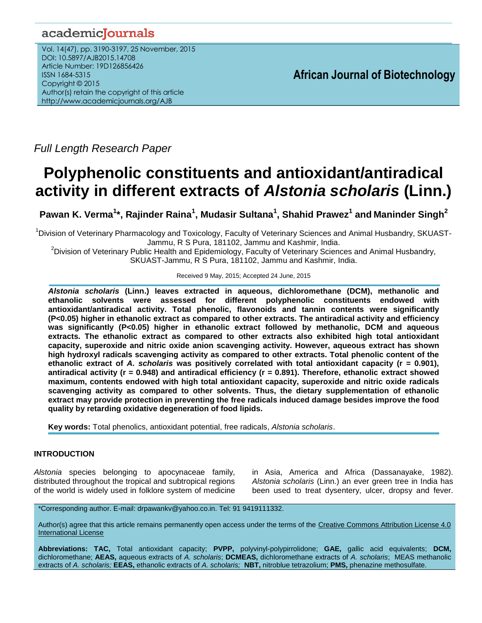# academicJournals

Vol. 14(47), pp. 3190-3197, 25 November, 2015 DOI: 10.5897/AJB2015.14708 Article Number: 19D126856426 ISSN 1684-5315 Copyright © 2015 Author(s) retain the copyright of this article http://www.academicjournals.org/AJB

**African Journal of Biotechnology**

*Full Length Research Paper*

# **Polyphenolic constituents and antioxidant/antiradical activity in different extracts of** *Alstonia scholaris* **(Linn.)**

**Pawan K. Verma<sup>1</sup> \*, Rajinder Raina<sup>1</sup> , Mudasir Sultana<sup>1</sup> , Shahid Prawez<sup>1</sup> and Maninder Singh<sup>2</sup>**

<sup>1</sup>Division of Veterinary Pharmacology and Toxicology, Faculty of Veterinary Sciences and Animal Husbandry, SKUAST-Jammu, R S Pura, 181102, Jammu and Kashmir, India.

<sup>2</sup>Division of Veterinary Public Health and Epidemiology, Faculty of Veterinary Sciences and Animal Husbandry, SKUAST-Jammu, R S Pura, 181102, Jammu and Kashmir, India.

Received 9 May, 2015; Accepted 24 June, 2015

*Alstonia scholaris* **(Linn.) leaves extracted in aqueous, dichloromethane (DCM), methanolic and ethanolic solvents were assessed for different polyphenolic constituents endowed with antioxidant/antiradical activity. Total phenolic, flavonoids and tannin contents were significantly (P<0.05) higher in ethanolic extract as compared to other extracts. The antiradical activity and efficiency was significantly (P<0.05) higher in ethanolic extract followed by methanolic, DCM and aqueous extracts. The ethanolic extract as compared to other extracts also exhibited high total antioxidant capacity, superoxide and nitric oxide anion scavenging activity. However, aqueous extract has shown high hydroxyl radicals scavenging activity as compared to other extracts. Total phenolic content of the ethanolic extract of** *A. scholaris* **was positively correlated with total antioxidant capacity (r = 0.901), antiradical activity (r = 0.948) and antiradical efficiency (r = 0.891). Therefore, ethanolic extract showed maximum, contents endowed with high total antioxidant capacity, superoxide and nitric oxide radicals scavenging activity as compared to other solvents. Thus, the dietary supplementation of ethanolic extract may provide protection in preventing the free radicals induced damage besides improve the food quality by retarding oxidative degeneration of food lipids.**

**Key words:** Total phenolics, antioxidant potential, free radicals, *Alstonia scholaris*.

# **INTRODUCTION**

*Alstonia* species belonging to apocynaceae family, distributed throughout the tropical and subtropical regions of the world is widely used in folklore system of medicine in Asia, America and Africa (Dassanayake, 1982). *Alstonia scholaris* (Linn.) an ever green tree in India has been used to treat dysentery, ulcer, dropsy and fever.

\*Corresponding author. E-mail: drpawankv@yahoo.co.in. Tel: 91 9419111332.

Author(s) agree that this article remains permanently open access under the terms of the [Creative Commons Attribution License 4.0](http://creativecommons.org/licenses/by/4.0/deed.en_US)  [International License](http://creativecommons.org/licenses/by/4.0/deed.en_US) 

**Abbreviations: TAC,** Total antioxidant capacity; **PVPP,** polyvinyl-polypirrolidone; **GAE,** gallic acid equivalents; **DCM,** dichloromethane; **AEAS,** aqueous extracts of *A. scholaris*; **DCMEAS,** dichloromethane extracts of *A. scholaris*; MEAS methanolic extracts of *A. scholaris;* **EEAS,** ethanolic extracts of *A. scholaris;* **NBT,** nitroblue tetrazolium; **PMS,** phenazine methosulfate.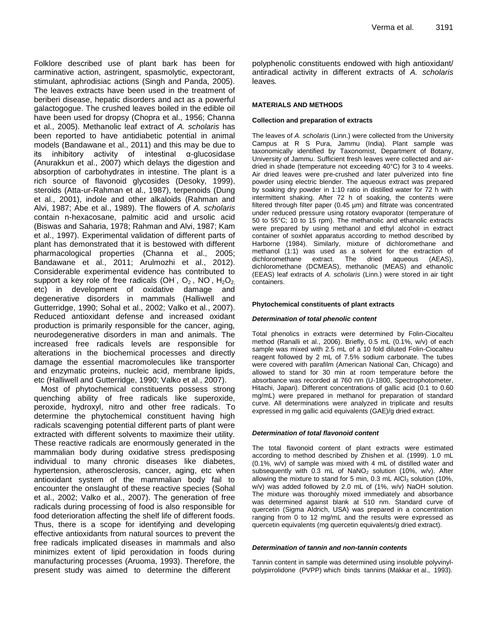Folklore described use of plant bark has been for carminative action, astringent, spasmolytic, expectorant, stimulant, aphrodisiac actions (Singh and Panda, 2005). The leaves extracts have been used in the treatment of beriberi disease, hepatic disorders and act as a powerful galactogogue. The crushed leaves boiled in the edible oil have been used for dropsy (Chopra et al., 1956; Channa et al., 2005). Methanolic leaf extract of *A. scholaris* has been reported to have antidiabetic potential in animal models (Bandawane et al., 2011) and this may be due to its inhibitory activity of intestinal α-glucosidase (Anurakkun et al., 2007) which delays the digestion and absorption of carbohydrates in intestine. The plant is a rich source of flavonoid glycosides (Desoky, 1999), steroids (Atta-ur-Rahman et al., 1987), terpenoids (Dung et al., 2001), indole and other alkaloids (Rahman and Alvi, 1987; Abe et al., 1989). The flowers of *A. scholaris* contain n-hexacosane, palmitic acid and ursolic acid (Biswas and Saharia, 1978; Rahman and Alvi, 1987; Kam et al., 1997). Experimental validation of different parts of plant has demonstrated that it is bestowed with different pharmacological properties (Channa et al., 2005; Bandawane et al., 2011; Arulmozhi et al., 2012). Considerable experimental evidence has contributed to support a key role of free radicals (OH,  $O_2$ , NO,  $H_2O_2$ , etc) in development of oxidative damage and degenerative disorders in mammals (Halliwell and Gutterridge, 1990; Sohal et al., 2002; Valko et al., 2007). Reduced antioxidant defense and increased oxidant production is primarily responsible for the cancer, aging, neurodegenerative disorders in man and animals. The increased free radicals levels are responsible for alterations in the biochemical processes and directly damage the essential macromolecules like transporter and enzymatic proteins, nucleic acid, membrane lipids, etc (Halliwell and Gutterridge, 1990; Valko et al., 2007).

Most of phytochemical constituents possess strong quenching ability of free radicals like superoxide, peroxide, hydroxyl, nitro and other free radicals. To determine the phytochemical constituent having high radicals scavenging potential different parts of plant were extracted with different solvents to maximize their utility. These reactive radicals are enormously generated in the mammalian body during oxidative stress predisposing individual to many chronic diseases like diabetes, hypertension, atherosclerosis, cancer, aging, etc when antioxidant system of the mammalian body fail to encounter the onslaught of these reactive species (Sohal et al., 2002; Valko et al., 2007). The generation of free radicals during processing of food is also responsible for food deterioration affecting the shelf life of different foods. Thus, there is a scope for identifying and developing effective antioxidants from natural sources to prevent the free radicals implicated diseases in mammals and also minimizes extent of lipid peroxidation in foods during manufacturing processes (Aruoma, 1993). Therefore, the present study was aimed to determine the different

polyphenolic constituents endowed with high antioxidant/ antiradical activity in different extracts of *A. scholaris* leaves*.*

# **MATERIALS AND METHODS**

# **Collection and preparation of extracts**

The leaves of *A. scholaris* (Linn.) were collected from the University Campus at R S Pura, Jammu (India). Plant sample was taxonomically identified by Taxonomist, Department of Botany, University of Jammu. Sufficient fresh leaves were collected and airdried in shade (temperature not exceeding 40°C) for 3 to 4 weeks. Air dried leaves were pre-crushed and later pulverized into fine powder using electric blender. The aqueous extract was prepared by soaking dry powder in 1:10 ratio in distilled water for 72 h with intermittent shaking. After 72 h of soaking, the contents were filtered through filter paper (0.45 µm) and filtrate was concentrated under reduced pressure using rotatory evaporator (temperature of 50 to 55°C; 10 to 15 rpm). The methanolic and ethanolic extracts were prepared by using methanol and ethyl alcohol in extract container of soxhlet apparatus according to method described by Harborne (1984). Similarly, mixture of dichloromethane and methanol (1:1) was used as a solvent for the extraction of dichloromethane extract. The dried aqueous (AEAS), dichloromethane (DCMEAS), methanolic (MEAS) and ethanolic (EEAS) leaf extracts of *A. scholaris* (Linn.) were stored in air tight containers.

# **Phytochemical constituents of plant extracts**

# *Determination of total phenolic content*

Total phenolics in extracts were determined by Folin-Ciocalteu method (Ranalli et al., 2006). Briefly, 0.5 mL (0.1%, w/v) of each sample was mixed with 2.5 mL of a 10 fold diluted Folin-Ciocalteu reagent followed by 2 mL of 7.5% sodium carbonate. The tubes were covered with parafilm (American National Can, Chicago) and allowed to stand for 30 min at room temperature before the absorbance was recorded at 760 nm (U-1800, Spectrophotometer, Hitachi, Japan). Different concentrations of gallic acid (0.1 to 0.60 mg/mL) were prepared in methanol for preparation of standard curve. All determinations were analyzed in triplicate and results expressed in mg gallic acid equivalents (GAE)/g dried extract.

# *Determination of total flavonoid content*

The total flavonoid content of plant extracts were estimated according to method described by Zhishen et al. (1999). 1.0 mL (0.1%, w/v) of sample was mixed with 4 mL of distilled water and subsequently with 0.3 mL of  $NaNO<sub>2</sub>$  solution (10%, w/v). After allowing the mixture to stand for 5 min,  $0.3$  mL AlCl<sub>3</sub> solution (10%, w/v) was added followed by 2.0 mL of (1%, w/v) NaOH solution. The mixture was thoroughly mixed immediately and absorbance was determined against blank at 510 nm. Standard curve of quercetin (Sigma Aldrich, USA) was prepared in a concentration ranging from 0 to 12 mg/mL and the results were expressed as quercetin equivalents (mg quercetin equivalents/g dried extract).

# *Determination of tannin and non-tannin contents*

Tannin content in sample was determined using insoluble polyvinylpolypirrolidone (PVPP) which binds tannins (Makkar et al., 1993).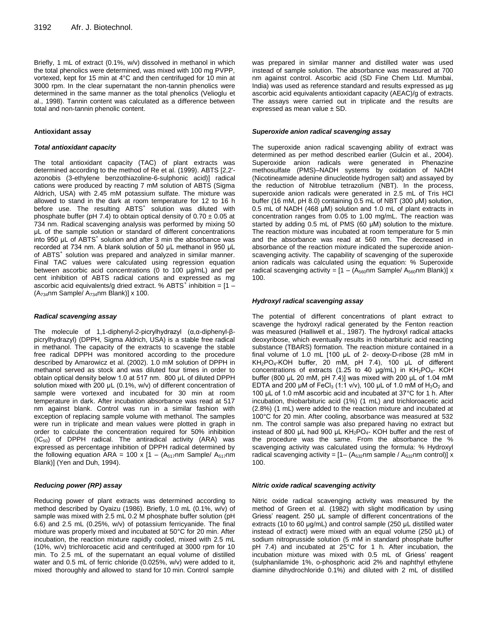Briefly, 1 mL of extract (0.1%, w/v) dissolved in methanol in which the total phenolics were determined, was mixed with 100 mg PVPP, vortexed, kept for 15 min at 4°C and then centrifuged for 10 min at 3000 rpm. In the clear supernatant the non-tannin phenolics were determined in the same manner as the total phenolics (Velioglu et al., 1998). Tannin content was calculated as a difference between total and non-tannin phenolic content.

#### **Antioxidant assay**

#### *Total antioxidant capacity*

The total antioxidant capacity (TAC) of plant extracts was determined according to the method of Re et al. (1999). ABTS [2,2' azonobis (3-ethylene benzothiazoline-6-sulphonic acid)] radical cations were produced by reacting 7 mM solution of ABTS (Sigma Aldrich, USA) with 2.45 mM potassium sulfate. The mixture was allowed to stand in the dark at room temperature for 12 to 16 h before use. The resulting ABTS<sup>+</sup> solution was diluted with phosphate buffer (pH 7.4) to obtain optical density of  $0.70 \pm 0.05$  at 734 nm. Radical scavenging analysis was performed by mixing 50 μL of the sample solution or standard of different concentrations into 950 μL of ABTS<sup>+</sup> solution and after 3 min the absorbance was recorded at 734 nm. A blank solution of 50 μL methanol in 950 μL of ABTS<sup>+</sup> solution was prepared and analyzed in similar manner. Final TAC values were calculated using regression equation between ascorbic acid concentrations (0 to 100 µg/mL) and per cent inhibition of ABTS radical cations and expressed as mg ascorbic acid equivalents/g dried extract. % ABTS $^+$  inhibition = [1 - $(A_{734}$ nm Sample/  $A_{734}$ nm Blank)] x 100.

#### *Radical scavenging assay*

The molecule of 1,1-diphenyl-2-picrylhydrazyl (α,α-diphenyl-βpicrylhydrazyl) (DPPH, Sigma Aldrich, USA) is a stable free radical in methanol. The capacity of the extracts to scavenge the stable free radical DPPH was monitored according to the procedure described by Amarowicz et al. (2002). 1.0 mM solution of DPPH in methanol served as stock and was diluted four times in order to obtain optical density below 1.0 at 517 nm. 800 μL of diluted DPPH solution mixed with 200 μL (0.1%, w/v) of different concentration of sample were vortexed and incubated for 30 min at room temperature in dark. After incubation absorbance was read at 517 nm against blank. Control was run in a similar fashion with exception of replacing sample volume with methanol. The samples were run in triplicate and mean values were plotted in graph in order to calculate the concentration required for 50% inhibition  $(IC_{50})$  of DPPH radical. The antiradical activity  $(ARA)$  was expressed as percentage inhibition of DPPH radical determined by the following equation ARA = 100 x  $[1 - (A_{517}nm \text{ Sample/ } A_{517}nm$ Blank)] (Yen and Duh, 1994).

#### *Reducing power (RP) assay*

Reducing power of plant extracts was determined according to method described by Oyaizu (1986). Briefly, 1.0 mL (0.1%, w/v) of sample was mixed with 2.5 mL 0.2 M phosphate buffer solution (pH 6.6) and 2.5 mL (0.25%, w/v) of potassium ferricyanide. The final mixture was properly mixed and incubated at 50°C for 20 min. After incubation, the reaction mixture rapidly cooled, mixed with 2.5 mL (10%, w/v) trichloroacetic acid and centrifuged at 3000 rpm for 10 min. To 2.5 mL of the supernatant an equal volume of distilled water and 0.5 mL of ferric chloride (0.025%, w/v) were added to it, mixed thoroughly and allowed to stand for 10 min. Control sample

was prepared in similar manner and distilled water was used instead of sample solution. The absorbance was measured at 700 nm against control. Ascorbic acid (SD Fine Chem Ltd. Mumbai, India) was used as reference standard and results expressed as µg ascorbic acid equivalents antioxidant capacity (AEAC)/g of extracts. The assays were carried out in triplicate and the results are expressed as mean value  $\pm$  SD.

#### *Superoxide anion radical scavenging assa***y**

The superoxide anion radical scavenging ability of extract was determined as per method described earlier (Gulcin et al., 2004). Superoxide anion radicals were generated in Phenazine methosulfate (PMS)–NADH systems by oxidation of NADH (Nicotineamide adenine dinucleotide hydrogen salt) and assayed by the reduction of Nitroblue tetrazolium (NBT). In the process, superoxide anion radicals were generated in 2.5 mL of Tris HCl buffer (16 mM, pH 8.0) containing 0.5 mL of NBT (300 μM) solution, 0.5 mL of NADH (468 μM) solution and 1.0 mL of plant extracts in concentration ranges from 0.05 to 1.00 mg/mL. The reaction was started by adding 0.5 mL of PMS (60 μM) solution to the mixture. The reaction mixture was incubated at room temperature for 5 min and the absorbance was read at 560 nm. The decreased in absorbance of the reaction mixture indicated the superoxide anionscavenging activity. The capability of scavenging of the superoxide anion radicals was calculated using the equation: % Superoxide radical scavenging activity =  $[1 - (A_{560}nm \text{ Sample}/A_{560}nm \text{ Blank})]x$ 100.

#### *Hydroxyl radical scavenging assay*

The potential of different concentrations of plant extract to scavenge the hydroxyl radical generated by the Fenton reaction was measured (Halliwell et al., 1987). The hydroxyl radical attacks deoxyribose, which eventually results in thiobarbituric acid reacting substance (TBARS) formation. The reaction mixture contained in a final volume of 1.0 mL [100 μL of 2- deoxy-D-ribose (28 mM in KH2PO4-KOH buffer, 20 mM, pH 7.4), 100 μL of different concentrations of extracts (1.25 to 40 μg/mL) in KH<sub>2</sub>PO<sub>4</sub>- KOH buffer (800 μL 20 mM, pH 7.4)] was mixed with 200 μL of 1.04 mM EDTA and 200 μM of FeCl<sub>3</sub> (1:1 v/v), 100 μL of 1.0 mM of  $H_2O_2$  and 100 μL of 1.0 mM ascorbic acid and incubated at 37°C for 1 h. After incubation, thiobarbituric acid (1%) (1 mL) and trichloroacetic acid (2.8%) (1 mL) were added to the reaction mixture and incubated at 100°C for 20 min. After cooling, absorbance was measured at 532 nm. The control sample was also prepared having no extract but instead of 800 μL had 900 μL KH<sub>2</sub>PO<sub>4</sub>- KOH buffer and the rest of the procedure was the same. From the absorbance the % scavenging activity was calculated using the formula: % Hydroxyl radical scavenging activity =  $[1 - (A_{532}nm \text{ sample } / A_{532}nm \text{ control})] x$ 100.

#### *Nitric oxide radical scavenging activity*

Nitric oxide radical scavenging activity was measured by the method of Green et al. (1982) with slight modification by using Griess' reagent. 250 μL sample of different concentrations of the extracts (10 to 60 μg/mL) and control sample (250 μL distilled water instead of extract) were mixed with an equal volume (250 μL) of sodium nitroprusside solution (5 mM in standard phosphate buffer pH 7.4) and incubated at 25°C for 1 h. After incubation, the incubation mixture was mixed with 0.5 mL of Griess' reagent (sulphanilamide 1%, o-phosphoric acid 2% and naphthyl ethylene diamine dihydrochloride 0.1%) and diluted with 2 mL of distilled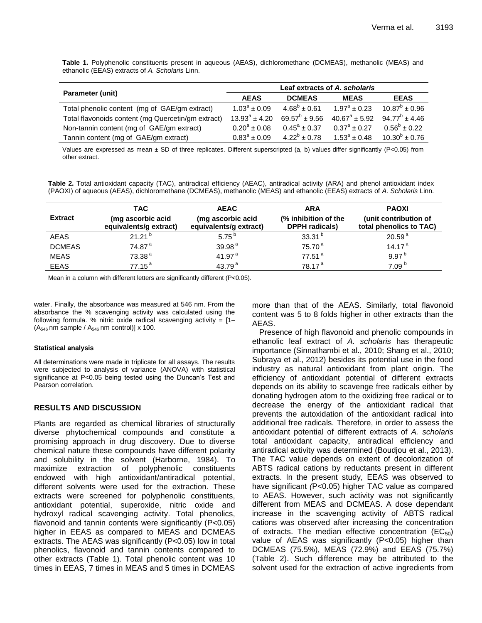**Table 1.** Polyphenolic constituents present in aqueous (AEAS), dichloromethane (DCMEAS), methanolic (MEAS) and ethanolic (EEAS) extracts of *A. Scholaris* Linn.

|                                                    | Leaf extracts of A, scholaris |                         |                       |                         |
|----------------------------------------------------|-------------------------------|-------------------------|-----------------------|-------------------------|
| Parameter (unit)                                   | <b>AEAS</b>                   | <b>DCMEAS</b>           | <b>MEAS</b>           | <b>EEAS</b>             |
| Total phenolic content (mg of GAE/gm extract)      | $1.03^a \pm 0.09$             | $4.68^b \pm 0.61$       | $1.97^a \pm 0.23$     | $10.87^b \pm 0.96$      |
| Total flavonoids content (mg Quercetin/gm extract) | $13.93^a \pm 4.20$            | $69.57^b \pm 9.56$      | $40.67^a \pm 5.92$    | 94.77 $^{\rm b}$ ± 4.46 |
| Non-tannin content (mg of GAE/gm extract)          | $0.20^a \pm 0.08$             | $0.45^{\circ} \pm 0.37$ | $0.37^{\circ} + 0.27$ | $0.56^b \pm 0.22$       |
| Tannin content (mg of GAE/gm extract)              | $0.83^{\circ} \pm 0.09$       | $4.22^b \pm 0.78$       | $1.53^a + 0.48$       | $10.30^{b} \pm 0.76$    |

Values are expressed as mean  $\pm$  SD of three replicates. Different superscripted (a, b) values differ significantly (P<0.05) from other extract.

**Table 2.** Total antioxidant capacity (TAC), antiradical efficiency (AEAC), antiradical activity (ARA) and phenol antioxidant index (PAOXI) of aqueous (AEAS), dichloromethane (DCMEAS), methanolic (MEAS) and ethanolic (EEAS) extracts of *A. Scholaris* Linn.

| <b>Extract</b> | <b>TAC</b><br>(mg ascorbic acid | <b>AEAC</b><br>(mg ascorbic acid | <b>ARA</b><br>(% inhibition of the | <b>PAOXI</b><br>(unit contribution of |
|----------------|---------------------------------|----------------------------------|------------------------------------|---------------------------------------|
|                | equivalents/g extract)          | equivalents/g extract)           | <b>DPPH</b> radicals)              | total phenolics to TAC)               |
| <b>AEAS</b>    | $21.21^{b}$                     | 5.75 $^{b}$                      | 33.31 $b$                          | 20.59 <sup>a</sup>                    |
| <b>DCMEAS</b>  | 74.87 <sup>a</sup>              | 39.98 <sup>a</sup>               | 75.70 <sup>a</sup>                 | 14.17 <sup>a</sup>                    |
| <b>MEAS</b>    | 73.38 <sup>a</sup>              | 41.97 <sup>a</sup>               | 77.51 <sup>a</sup>                 | 9.97 <sup>b</sup>                     |
| <b>EEAS</b>    | $77.15^{\text{a}}$              | 43.79 <sup>a</sup>               | 78.17 <sup>a</sup>                 | 7.09 <sup>b</sup>                     |
|                |                                 |                                  |                                    |                                       |

Mean in a column with different letters are significantly different (P<0.05).

water. Finally, the absorbance was measured at 546 nm. From the absorbance the % scavenging activity was calculated using the following formula. % nitric oxide radical scavenging activity =  $[1 (A_{546}$  nm sample /  $A_{546}$  nm control)] x 100.

#### **Statistical analysis**

All determinations were made in triplicate for all assays. The results were subjected to analysis of variance (ANOVA) with statistical significance at P<0.05 being tested using the Duncan's Test and Pearson correlation.

# **RESULTS AND DISCUSSION**

Plants are regarded as chemical libraries of structurally diverse phytochemical compounds and constitute a promising approach in drug discovery. Due to diverse chemical nature these compounds have different polarity and solubility in the solvent (Harborne, 1984). To maximize extraction of polyphenolic constituents endowed with high antioxidant/antiradical potential, different solvents were used for the extraction. These extracts were screened for polyphenolic constituents, antioxidant potential, superoxide, nitric oxide and hydroxyl radical scavenging activity. Total phenolics, flavonoid and tannin contents were significantly (P<0.05) higher in EEAS as compared to MEAS and DCMEAS extracts. The AEAS was significantly (P<0.05) low in total phenolics, flavonoid and tannin contents compared to other extracts (Table 1). Total phenolic content was 10 times in EEAS, 7 times in MEAS and 5 times in DCMEAS more than that of the AEAS. Similarly, total flavonoid content was 5 to 8 folds higher in other extracts than the AEAS.

Presence of high flavonoid and phenolic compounds in ethanolic leaf extract of *A. scholaris* has therapeutic importance (Sinnathambi et al., 2010; Shang et al., 2010; Subraya et al., 2012) besides its potential use in the food industry as natural antioxidant from plant origin. The efficiency of antioxidant potential of different extracts depends on its ability to scavenge free radicals either by donating hydrogen atom to the oxidizing free radical or to decrease the energy of the antioxidant radical that prevents the autoxidation of the antioxidant radical into additional free radicals. Therefore, in order to assess the antioxidant potential of different extracts of *A. scholaris* total antioxidant capacity, antiradical efficiency and antiradical activity was determined (Boudjou et al., 2013). The TAC value depends on extent of decolorization of ABTS radical cations by reductants present in different extracts. In the present study, EEAS was observed to have significant *(*P<0.05) higher TAC value as compared to AEAS. However, such activity was not significantly different from MEAS and DCMEAS. A dose dependant increase in the scavenging activity of ABTS radical cations was observed after increasing the concentration of extracts. The median effective concentration ( $EC_{50}$ ) value of AEAS was significantly (P<0.05) higher than DCMEAS (75.5%), MEAS (72.9%) and EEAS (75.7%) (Table 2). Such difference may be attributed to the solvent used for the extraction of active ingredients from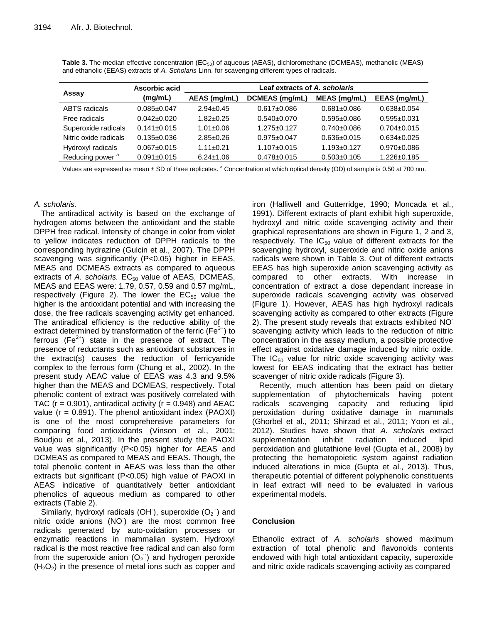|                             | Ascorbic acid     | Leaf extracts of A. scholaris |                   |                   |                   |  |
|-----------------------------|-------------------|-------------------------------|-------------------|-------------------|-------------------|--|
| Assay                       | (mg/mL)           | AEAS (mg/mL)                  | DCMEAS (mg/mL)    | MEAS (mg/mL)      | EEAS (mg/mL)      |  |
| <b>ABTS</b> radicals        | $0.085 \pm 0.047$ | $2.94 + 0.45$                 | $0.617 + 0.086$   | $0.681 \pm 0.086$ | $0.638 \pm 0.054$ |  |
| Free radicals               | $0.042 \pm 0.020$ | $1.82 + 0.25$                 | $0.540\pm0.070$   | $0.595 \pm 0.086$ | $0.595 \pm 0.031$ |  |
| Superoxide radicals         | $0.141 \pm 0.015$ | $1.01 \pm 0.06$               | $1.275 \pm 0.127$ | $0.740\pm0.086$   | $0.704 \pm 0.015$ |  |
| Nitric oxide radicals       | $0.135 \pm 0.036$ | $2.85 + 0.26$                 | $0.975 \pm 0.047$ | $0.636 \pm 0.015$ | $0.634\pm0.025$   |  |
| Hydroxyl radicals           | $0.067 \pm 0.015$ | $1.11 \pm 0.21$               | $1.107 \pm 0.015$ | $1.193 \pm 0.127$ | $0.970 \pm 0.086$ |  |
| Reducing power <sup>a</sup> | $0.091 \pm 0.015$ | $6.24 \pm 1.06$               | $0.478 \pm 0.015$ | $0.503 \pm 0.105$ | $1.226 \pm 0.185$ |  |

**Table 3.** The median effective concentration (EC<sub>50</sub>) of aqueous (AEAS), dichloromethane (DCMEAS), methanolic (MEAS) and ethanolic (EEAS) extracts of *A. Scholaris* Linn. for scavenging different types of radicals.

Values are expressed as mean ± SD of three replicates. <sup>a</sup> Concentration at which optical density (OD) of sample is 0.50 at 700 nm.

# *A. scholaris.*

The antiradical activity is based on the exchange of hydrogen atoms between the antioxidant and the stable DPPH free radical. Intensity of change in color from violet to yellow indicates reduction of DPPH radicals to the corresponding hydrazine (Gulcin et al., 2007). The DPPH scavenging was significantly (P<0.05) higher in EEAS, MEAS and DCMEAS extracts as compared to aqueous extracts of *A. scholaris.* EC<sub>50</sub> value of AEAS, DCMEAS, MEAS and EEAS were: 1.79, 0.57, 0.59 and 0.57 mg/mL, respectively (Figure 2). The lower the  $EC_{50}$  value the higher is the antioxidant potential and with increasing the dose, the free radicals scavenging activity get enhanced. The antiradical efficiency is the reductive ability of the extract determined by transformation of the ferric ( $Fe<sup>3+</sup>$ ) to ferrous (Fe<sup>2+</sup>) state in the presence of extract. The presence of reductants such as antioxidant substances in the extract(s) causes the reduction of ferricyanide complex to the ferrous form (Chung et al., 2002). In the present study AEAC value of EEAS was 4.3 and 9.5% higher than the MEAS and DCMEAS, respectively. Total phenolic content of extract was positively correlated with TAC ( $r = 0.901$ ), antiradical activity ( $r = 0.948$ ) and AEAC value ( $r = 0.891$ ). The phenol antioxidant index (PAOXI) is one of the most comprehensive parameters for comparing food antioxidants (Vinson et al., 2001; Boudjou et al., 2013). In the present study the PAOXI value was significantly (P<0.05) higher for AEAS and DCMEAS as compared to MEAS and EEAS. Though, the total phenolic content in AEAS was less than the other extracts but significant (P<0.05) high value of PAOXI in AEAS indicative of quantitatively better antioxidant phenolics of aqueous medium as compared to other extracts (Table 2).

Similarly, hydroxyl radicals (OH), superoxide  $(O_2)$  and nitric oxide anions (NO) are the most common free radicals generated by auto-oxidation processes or enzymatic reactions in mammalian system. Hydroxyl radical is the most reactive free radical and can also form from the superoxide anion  $(O_2^{\text{-}})$  and hydrogen peroxide  $(H<sub>2</sub>O<sub>2</sub>)$  in the presence of metal ions such as copper and

iron (Halliwell and Gutterridge, 1990; Moncada et al., 1991). Different extracts of plant exhibit high superoxide, hydroxyl and nitric oxide scavenging activity and their graphical representations are shown in Figure 1, 2 and 3, respectively. The  $IC_{50}$  value of different extracts for the scavenging hydroxyl, superoxide and nitric oxide anions radicals were shown in Table 3. Out of different extracts EEAS has high superoxide anion scavenging activity as compared to other extracts. With increase in concentration of extract a dose dependant increase in superoxide radicals scavenging activity was observed (Figure 1). However, AEAS has high hydroxyl radicals scavenging activity as compared to other extracts (Figure 2). The present study reveals that extracts exhibited NO· scavenging activity which leads to the reduction of nitric concentration in the assay medium, a possible protective effect against oxidative damage induced by nitric oxide. The  $IC_{50}$  value for nitric oxide scavenging activity was lowest for EEAS indicating that the extract has better scavenger of nitric oxide radicals (Figure 3).

Recently, much attention has been paid on dietary supplementation of phytochemicals having potent radicals scavenging capacity and reducing lipid peroxidation during oxidative damage in mammals (Ghorbel et al., 2011; Shirzad et al., 2011; Yoon et al., 2012). Studies have shown that *A. scholaris* extract supplementation inhibit radiation induced lipid peroxidation and glutathione level (Gupta et al., 2008) by protecting the hematopoietic system against radiation induced alterations in mice (Gupta et al., 2013). Thus, therapeutic potential of different polyphenolic constituents in leaf extract will need to be evaluated in various experimental models.

# **Conclusion**

Ethanolic extract of *A. scholaris* showed maximum extraction of total phenolic and flavonoids contents endowed with high total antioxidant capacity, superoxide and nitric oxide radicals scavenging activity as compared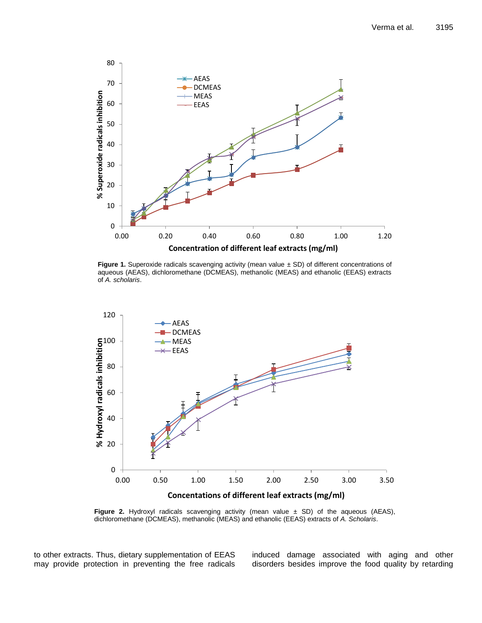

**Figure 1.** Superoxide radicals scavenging activity (mean value  $\pm$  SD) of different concentrations of aqueous (AEAS), dichloromethane (DCMEAS), methanolic (MEAS) and ethanolic (EEAS) extracts of *A. scholaris*.



**Figure 2.** Hydroxyl radicals scavenging activity (mean value ± SD) of the aqueous (AEAS), dichloromethane (DCMEAS), methanolic (MEAS) and ethanolic (EEAS) extracts of *A. Scholaris*.

to other extracts. Thus, dietary supplementation of EEAS may provide protection in preventing the free radicals induced damage associated with aging and other disorders besides improve the food quality by retarding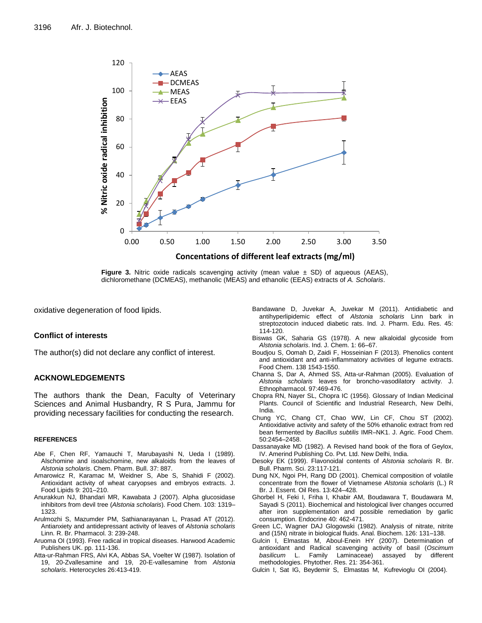

**Figure 3.** Nitric oxide radicals scavenging activity (mean value ± SD) of aqueous (AEAS), dichloromethane (DCMEAS), methanolic (MEAS) and ethanolic (EEAS) extracts of *A. Scholaris*.

oxidative degeneration of food lipids.

# **Conflict of interests**

The author(s) did not declare any conflict of interest.

# **ACKNOWLEDGEMENTS**

The authors thank the Dean, Faculty of Veterinary Sciences and Animal Husbandry, R S Pura, Jammu for providing necessary facilities for conducting the research.

#### **REFERENCES**

- Abe F, Chen RF, Yamauchi T, Marubayashi N, Ueda I (1989). Alschomine and isoalschomine, new alkaloids from the leaves of *Alstonia scholaris*. Chem. Pharm. Bull. 37: 887.
- Amarowicz R, Karamac M, Weidner S, Abe S, Shahidi F (2002). Antioxidant activity of wheat caryopses and embryos extracts. J. Food Lipids 9: 201–210.
- Anurakkun NJ, Bhandari MR, Kawabata J (2007). Alpha glucosidase inhibitors from devil tree (*Alstonia scholaris*). Food Chem. 103: 1319– 1323.
- Arulmozhi S, Mazumder PM, Sathianarayanan L, Prasad AT (2012). Antianxiety and antidepressant activity of leaves of *Alstonia scholaris* Linn. R. Br. Pharmacol. 3: 239-248.
- Aruoma OI (1993). Free radical in tropical diseases. Harwood Academic Publishers UK. pp. 111-136.
- Atta-ur-Rahman FRS, Alvi KA, Abbas SA, Voelter W (1987). Isolation of 19, 20-Zvallesamine and 19, 20-E-vallesamine from *Alstonia scholaris*. Heterocycles 26:413-419.
- Bandawane D, Juvekar A, Juvekar M (2011). Antidiabetic and antihyperlipidemic effect of *Alstonia scholaris* Linn bark in streptozotocin induced diabetic rats. Ind. J. Pharm. Edu. Res. 45: 114-120.
- Biswas GK, Saharia GS (1978). A new alkaloidal glycoside from *Alstonia scholaris*. Ind. J. Chem. 1: 66–67.
- Boudjou S, Oomah D, Zaidi F, Hosseinian F (2013). Phenolics content and antioxidant and anti-inflammatory activities of legume extracts. Food Chem. 138 1543-1550.
- Channa S, Dar A, Ahmed SS, Atta-ur-Rahman (2005). Evaluation of *Alstonia scholaris* leaves for broncho-vasodilatory activity. J. Ethnopharmacol. 97:469-476.
- Chopra RN, Nayer SL, Chopra IC (1956). Glossary of Indian Medicinal Plants. Council of Scientific and Industrial Research, New Delhi, India.
- Chung YC, Chang CT, Chao WW, Lin CF, Chou ST (2002). Antioxidative activity and safety of the 50% ethanolic extract from red bean fermented by *Bacillus subtilis* IMR–NK1. J. Agric. Food Chem. 50:2454–2458.
- Dassanayake MD (1982). A Revised hand book of the flora of Geylox, IV. Amerind Publishing Co. Pvt. Ltd. New Delhi, India.
- Desoky EK (1999). Flavonoidal contents of *Alstonia scholaris* R. Br. Bull. Pharm. Sci. 23:117-121.
- Dung NX, Ngoi PH, Rang DD (2001). Chemical composition of volatile concentrate from the flower of Vietnamese *Alstonia scholaris* (L.) R Br. J. Essent. Oil Res. 13:424–428.
- Ghorbel H, Feki I, Friha I, Khabir AM, Boudawara T, Boudawara M, Sayadi S (2011). Biochemical and histological liver changes occurred after iron supplementation and possible remediation by garlic consumption. Endocrine 40: 462-471.
- Green LC, Wagner DAJ Glogowski (1982). Analysis of nitrate, nitrite and (15N) nitrate in biological fluids. Anal. Biochem. 126: 131–138.
- Gulcin I, Elmastas M, Aboul-Enein HY (2007). Determination of antioxidant and Radical scavenging activity of basil (*Oscimum basilicum* L. Family Laminaceae) assayed by different methodologies. Phytother. Res. 21: 354-361.
- Gulcin I, Sat IG, Beydemir S, Elmastas M, Kufrevioglu OI (2004).